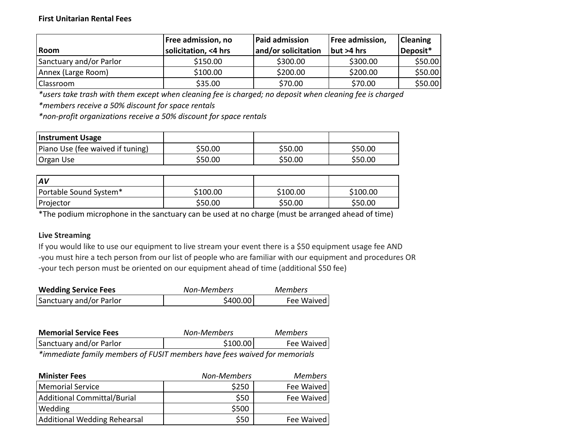## **First Unitarian Rental Fees**

| Room                    | Free admission, no<br>solicitation, <4 hrs | Paid admission<br>and/or solicitation | Free admission,<br>but >4 hrs | <b>Cleaning</b><br>Deposit* |
|-------------------------|--------------------------------------------|---------------------------------------|-------------------------------|-----------------------------|
| Sanctuary and/or Parlor | \$150.00                                   | \$300.00                              | \$300.00                      | \$50.00                     |
| Annex (Large Room)      | \$100.00                                   | \$200.00                              | \$200.00                      | \$50.00                     |
| Classroom               | \$35.00                                    | \$70.00                               | \$70.00                       | \$50.00                     |

*\*users take trash with them except when cleaning fee is charged; no deposit when cleaning fee is charged*

*\*members receive a 50% discount for space rentals*

*\*non-profit organizations receive a 50% discount for space rentals*

| Instrument Usage                 |         |         |         |
|----------------------------------|---------|---------|---------|
| Piano Use (fee waived if tuning) | \$50.00 | \$50.00 | \$50.00 |
| <b>Organ Use</b>                 | \$50.00 | \$50.00 | \$50.00 |

| $\mathsf{A}V$          |          |          |          |
|------------------------|----------|----------|----------|
| Portable Sound System* | \$100.00 | \$100.00 | \$100.00 |
| Projector              | \$50.00  | \$50.00  | \$50.00  |

\*The podium microphone in the sanctuary can be used at no charge (must be arranged ahead of time)

## **Live Streaming**

If you would like to use our equipment to live stream your event there is a \$50 equipment usage fee AND -you must hire a tech person from our list of people who are familiar with our equipment and procedures OR -your tech person must be oriented on our equipment ahead of time (additional \$50 fee)

| <b>Wedding Service Fees</b> | Non-Members | <b>Members</b> |
|-----------------------------|-------------|----------------|
| Sanctuary and/or Parlor     | \$400.00    | Fee Waived     |

| <b>Memorial Service Fees</b> | Non-Members | <b>Members</b> |
|------------------------------|-------------|----------------|
| Sanctuary and/or Parlor      | \$100.00    | Fee Waived     |
|                              |             |                |

*\*immediate family members of FUSIT members have fees waived for memorials*

| <b>Minister Fees</b>         | Non-Members | <b>Members</b> |
|------------------------------|-------------|----------------|
| Memorial Service             | \$250       | Fee Waived     |
| Additional Committal/Burial  | \$50        | Fee Waived     |
| Wedding                      | \$500       |                |
| Additional Wedding Rehearsal | \$50        | Fee Waived     |